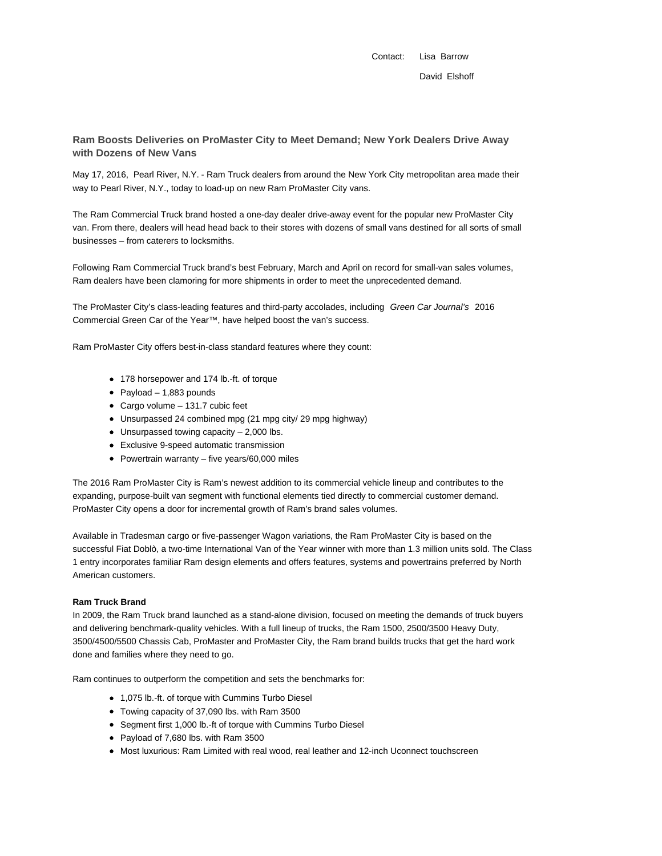Contact: Lisa Barrow David Elshoff

## **Ram Boosts Deliveries on ProMaster City to Meet Demand; New York Dealers Drive Away with Dozens of New Vans**

May 17, 2016, Pearl River, N.Y. - Ram Truck dealers from around the New York City metropolitan area made their way to Pearl River, N.Y., today to load-up on new Ram ProMaster City vans.

The Ram Commercial Truck brand hosted a one-day dealer drive-away event for the popular new ProMaster City van. From there, dealers will head head back to their stores with dozens of small vans destined for all sorts of small businesses – from caterers to locksmiths.

Following Ram Commercial Truck brand's best February, March and April on record for small-van sales volumes, Ram dealers have been clamoring for more shipments in order to meet the unprecedented demand.

The ProMaster City's class-leading features and third-party accolades, including Green Car Journal's 2016 Commercial Green Car of the Year™, have helped boost the van's success.

Ram ProMaster City offers best-in-class standard features where they count:

- 178 horsepower and 174 lb.-ft. of torque
- $\bullet$  Payload 1,883 pounds
- Cargo volume 131.7 cubic feet
- Unsurpassed 24 combined mpg (21 mpg city/ 29 mpg highway)
- Unsurpassed towing capacity 2,000 lbs.
- Exclusive 9-speed automatic transmission
- Powertrain warranty five years/60,000 miles

The 2016 Ram ProMaster City is Ram's newest addition to its commercial vehicle lineup and contributes to the expanding, purpose-built van segment with functional elements tied directly to commercial customer demand. ProMaster City opens a door for incremental growth of Ram's brand sales volumes.

Available in Tradesman cargo or five-passenger Wagon variations, the Ram ProMaster City is based on the successful Fiat Doblò, a two-time International Van of the Year winner with more than 1.3 million units sold. The Class 1 entry incorporates familiar Ram design elements and offers features, systems and powertrains preferred by North American customers.

## **Ram Truck Brand**

In 2009, the Ram Truck brand launched as a stand-alone division, focused on meeting the demands of truck buyers and delivering benchmark-quality vehicles. With a full lineup of trucks, the Ram 1500, 2500/3500 Heavy Duty, 3500/4500/5500 Chassis Cab, ProMaster and ProMaster City, the Ram brand builds trucks that get the hard work done and families where they need to go.

Ram continues to outperform the competition and sets the benchmarks for:

- 1,075 lb.-ft. of torque with Cummins Turbo Diesel
- Towing capacity of 37,090 lbs. with Ram 3500
- Segment first 1,000 lb.-ft of torque with Cummins Turbo Diesel
- Payload of 7,680 lbs. with Ram 3500
- Most luxurious: Ram Limited with real wood, real leather and 12-inch Uconnect touchscreen